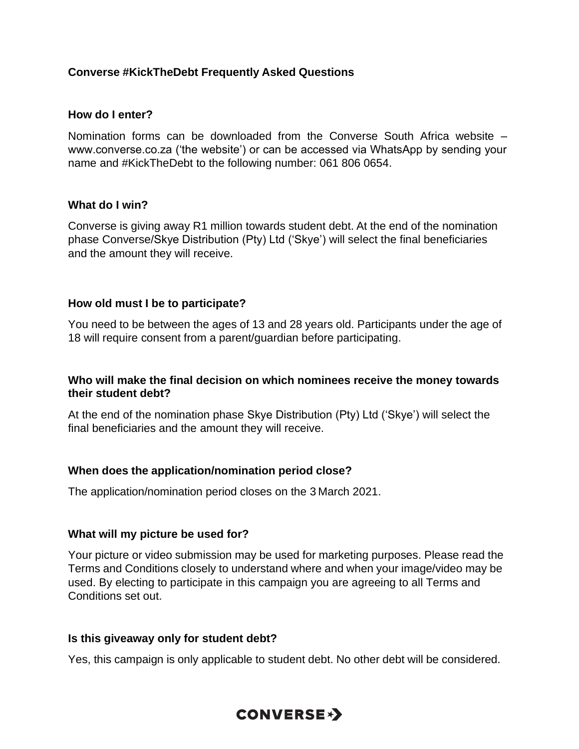### **Converse #KickTheDebt Frequently Asked Questions**

#### **How do I enter?**

Nomination forms can be downloaded from the Converse South Africa website – www.converse.co.za ('the website') or can be accessed via WhatsApp by sending your name and #KickTheDebt to the following number: 061 806 0654.

#### **What do I win?**

Converse is giving away R1 million towards student debt. At the end of the nomination phase Converse/Skye Distribution (Pty) Ltd ('Skye') will select the final beneficiaries and the amount they will receive.

#### **How old must I be to participate?**

You need to be between the ages of 13 and 28 years old. Participants under the age of 18 will require consent from a parent/guardian before participating.

#### **Who will make the final decision on which nominees receive the money towards their student debt?**

At the end of the nomination phase Skye Distribution (Pty) Ltd ('Skye') will select the final beneficiaries and the amount they will receive.

#### **When does the application/nomination period close?**

The application/nomination period closes on the 3 March 2021.

#### **What will my picture be used for?**

Your picture or video submission may be used for marketing purposes. Please read the Terms and Conditions closely to understand where and when your image/video may be used. By electing to participate in this campaign you are agreeing to all Terms and Conditions set out.

#### **Is this giveaway only for student debt?**

Yes, this campaign is only applicable to student debt. No other debt will be considered.

# **CONVERSE\*>**